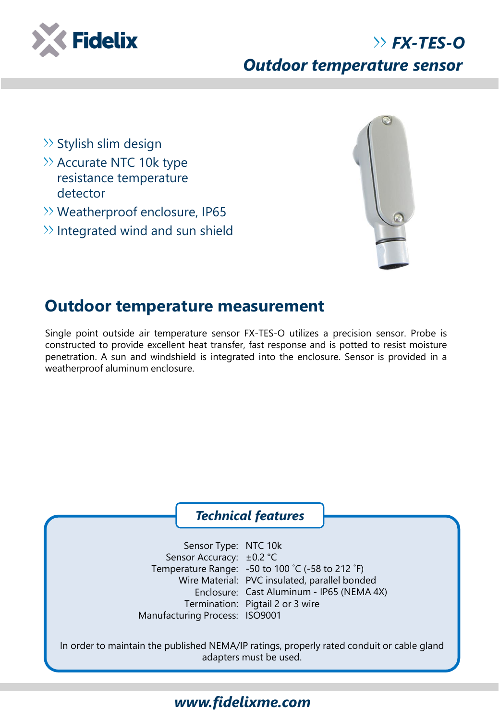

## *FX-TES-O Outdoor temperature sensor*

- $\gg$  Stylish slim design
- $\rightarrow$  Accurate NTC 10k type resistance temperature detector
- Weatherproof enclosure, IP65
- $\gg$  Integrated wind and sun shield



## **Outdoor temperature measurement**

Single point outside air temperature sensor FX-TES-O utilizes a precision sensor. Probe is constructed to provide excellent heat transfer, fast response and is potted to resist moisture penetration. A sun and windshield is integrated into the enclosure. Sensor is provided in a weatherproof aluminum enclosure.

#### *Technical features*

Sensor Type: NTC 10k Sensor Accuracy: ±0.2 °C Temperature Range: -50 to 100 ˚C (-58 to 212 ˚F) Wire Material: PVC insulated, parallel bonded Enclosure: Cast Aluminum - IP65 (NEMA 4X) Termination: Pigtail 2 or 3 wire Manufacturing Process: ISO9001

In order to maintain the published NEMA/IP ratings, properly rated conduit or cable gland adapters must be used.

## *www.fidelixme.com*